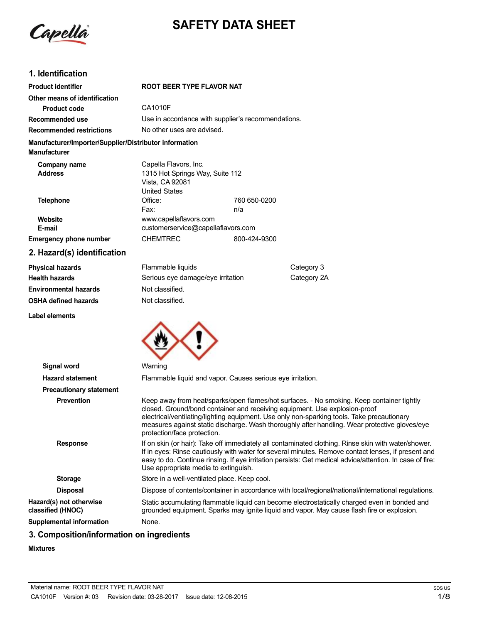

# **SAFETY DATA SHEET**

## **1. Identification**

| <b>Product identifier</b>                                                     | <b>ROOT BEER TYPE FLAVOR NAT</b>                                                                    |              |             |
|-------------------------------------------------------------------------------|-----------------------------------------------------------------------------------------------------|--------------|-------------|
| Other means of identification                                                 |                                                                                                     |              |             |
| <b>Product code</b>                                                           | CA1010F                                                                                             |              |             |
| Recommended use                                                               | Use in accordance with supplier's recommendations.                                                  |              |             |
| <b>Recommended restrictions</b>                                               | No other uses are advised.                                                                          |              |             |
| Manufacturer/Importer/Supplier/Distributor information<br><b>Manufacturer</b> |                                                                                                     |              |             |
| Company name<br><b>Address</b>                                                | Capella Flavors, Inc.<br>1315 Hot Springs Way, Suite 112<br>Vista, CA 92081<br><b>United States</b> |              |             |
| <b>Telephone</b>                                                              | Office:                                                                                             | 760 650-0200 |             |
|                                                                               | Fax:                                                                                                | n/a          |             |
| Website                                                                       | www.capellaflavors.com                                                                              |              |             |
| E-mail                                                                        | customerservice@capellaflavors.com                                                                  |              |             |
| <b>Emergency phone number</b>                                                 | <b>CHEMTREC</b>                                                                                     | 800-424-9300 |             |
| 2. Hazard(s) identification                                                   |                                                                                                     |              |             |
| <b>Physical hazards</b>                                                       | Flammable liquids                                                                                   |              | Category 3  |
| <b>Health hazards</b>                                                         | Serious eye damage/eye irritation                                                                   |              | Category 2A |
| <b>Environmental hazards</b>                                                  | Not classified.                                                                                     |              |             |
| <b>OSHA defined hazards</b>                                                   | Not classified.                                                                                     |              |             |
| <b>Label elements</b>                                                         |                                                                                                     |              |             |
| <b>Signal word</b>                                                            | Warning                                                                                             |              |             |
| <b>Hazard statement</b>                                                       | Flammable liquid and vapor. Causes serious eye irritation.                                          |              |             |
| <b>Precautionary statement</b>                                                |                                                                                                     |              |             |

| <b>Precautionary statement</b>               |                                                                                                                                                                                                                                                                                                                                                                                                       |
|----------------------------------------------|-------------------------------------------------------------------------------------------------------------------------------------------------------------------------------------------------------------------------------------------------------------------------------------------------------------------------------------------------------------------------------------------------------|
| <b>Prevention</b>                            | Keep away from heat/sparks/open flames/hot surfaces. - No smoking. Keep container tightly<br>closed. Ground/bond container and receiving equipment. Use explosion-proof<br>electrical/ventilating/lighting equipment. Use only non-sparking tools. Take precautionary<br>measures against static discharge. Wash thoroughly after handling. Wear protective gloves/eye<br>protection/face protection. |
| <b>Response</b>                              | If on skin (or hair): Take off immediately all contaminated clothing. Rinse skin with water/shower.<br>If in eyes: Rinse cautiously with water for several minutes. Remove contact lenses, if present and<br>easy to do. Continue rinsing. If eye irritation persists: Get medical advice/attention. In case of fire:<br>Use appropriate media to extinguish.                                         |
| <b>Storage</b>                               | Store in a well-ventilated place. Keep cool.                                                                                                                                                                                                                                                                                                                                                          |
| <b>Disposal</b>                              | Dispose of contents/container in accordance with local/regional/national/international regulations.                                                                                                                                                                                                                                                                                                   |
| Hazard(s) not otherwise<br>classified (HNOC) | Static accumulating flammable liquid can become electrostatically charged even in bonded and<br>grounded equipment. Sparks may ignite liquid and vapor. May cause flash fire or explosion.                                                                                                                                                                                                            |
| Supplemental information                     | None.                                                                                                                                                                                                                                                                                                                                                                                                 |
|                                              |                                                                                                                                                                                                                                                                                                                                                                                                       |

## **3. Composition/information on ingredients**

**Mixtures**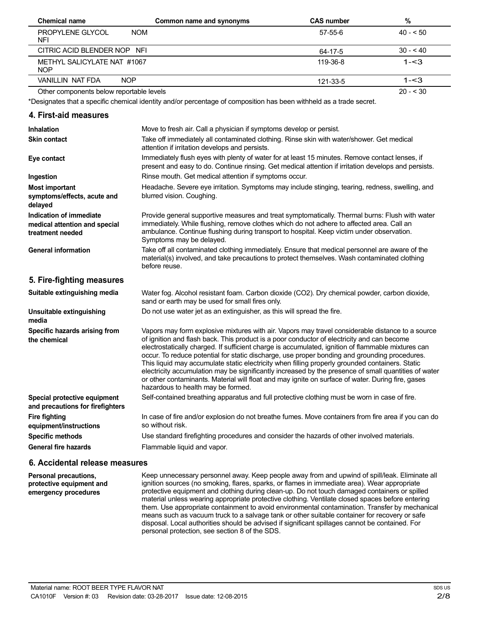| <b>Chemical name</b>                         | Common name and synonyms | <b>CAS number</b> | %         |
|----------------------------------------------|--------------------------|-------------------|-----------|
| <b>PROPYLENE GLYCOL</b><br><b>NOM</b><br>NFI |                          | 57-55-6           | $40 - 50$ |
| CITRIC ACID BLENDER NOP NFI                  |                          | 64-17-5           | $30 - 40$ |
| METHYL SALICYLATE NAT #1067<br><b>NOP</b>    |                          | 119-36-8          | $1 - 3$   |
| <b>NOP</b><br><b>VANILLIN NAT FDA</b>        |                          | 121-33-5          | $1 - 3$   |
| Other components below reportable levels     |                          |                   | $20 - 30$ |

\*Designates that a specific chemical identity and/or percentage of composition has been withheld as a trade secret.

#### **4. First-aid measures**

| Inhalation                                                                   | Move to fresh air. Call a physician if symptoms develop or persist.                                                                                                                                                                                                                                                                                                                                                                                                                                                                                                                                                                                                                                                                                         |
|------------------------------------------------------------------------------|-------------------------------------------------------------------------------------------------------------------------------------------------------------------------------------------------------------------------------------------------------------------------------------------------------------------------------------------------------------------------------------------------------------------------------------------------------------------------------------------------------------------------------------------------------------------------------------------------------------------------------------------------------------------------------------------------------------------------------------------------------------|
| <b>Skin contact</b>                                                          | Take off immediately all contaminated clothing. Rinse skin with water/shower. Get medical<br>attention if irritation develops and persists.                                                                                                                                                                                                                                                                                                                                                                                                                                                                                                                                                                                                                 |
| Eye contact                                                                  | Immediately flush eyes with plenty of water for at least 15 minutes. Remove contact lenses, if<br>present and easy to do. Continue rinsing. Get medical attention if irritation develops and persists.                                                                                                                                                                                                                                                                                                                                                                                                                                                                                                                                                      |
| Ingestion                                                                    | Rinse mouth. Get medical attention if symptoms occur.                                                                                                                                                                                                                                                                                                                                                                                                                                                                                                                                                                                                                                                                                                       |
| <b>Most important</b><br>symptoms/effects, acute and<br>delayed              | Headache. Severe eye irritation. Symptoms may include stinging, tearing, redness, swelling, and<br>blurred vision. Coughing.                                                                                                                                                                                                                                                                                                                                                                                                                                                                                                                                                                                                                                |
| Indication of immediate<br>medical attention and special<br>treatment needed | Provide general supportive measures and treat symptomatically. Thermal burns: Flush with water<br>immediately. While flushing, remove clothes which do not adhere to affected area. Call an<br>ambulance. Continue flushing during transport to hospital. Keep victim under observation.<br>Symptoms may be delayed.                                                                                                                                                                                                                                                                                                                                                                                                                                        |
| <b>General information</b>                                                   | Take off all contaminated clothing immediately. Ensure that medical personnel are aware of the<br>material(s) involved, and take precautions to protect themselves. Wash contaminated clothing<br>before reuse.                                                                                                                                                                                                                                                                                                                                                                                                                                                                                                                                             |
| 5. Fire-fighting measures                                                    |                                                                                                                                                                                                                                                                                                                                                                                                                                                                                                                                                                                                                                                                                                                                                             |
| Suitable extinguishing media                                                 | Water fog. Alcohol resistant foam. Carbon dioxide (CO2). Dry chemical powder, carbon dioxide,<br>sand or earth may be used for small fires only.                                                                                                                                                                                                                                                                                                                                                                                                                                                                                                                                                                                                            |
| Unsuitable extinguishing<br>media                                            | Do not use water jet as an extinguisher, as this will spread the fire.                                                                                                                                                                                                                                                                                                                                                                                                                                                                                                                                                                                                                                                                                      |
| Specific hazards arising from<br>the chemical                                | Vapors may form explosive mixtures with air. Vapors may travel considerable distance to a source<br>of ignition and flash back. This product is a poor conductor of electricity and can become<br>electrostatically charged. If sufficient charge is accumulated, ignition of flammable mixtures can<br>occur. To reduce potential for static discharge, use proper bonding and grounding procedures.<br>This liquid may accumulate static electricity when filling properly grounded containers. Static<br>electricity accumulation may be significantly increased by the presence of small quantities of water<br>or other contaminants. Material will float and may ignite on surface of water. During fire, gases<br>hazardous to health may be formed. |
| Special protective equipment<br>and precautions for firefighters             | Self-contained breathing apparatus and full protective clothing must be worn in case of fire.                                                                                                                                                                                                                                                                                                                                                                                                                                                                                                                                                                                                                                                               |
| <b>Fire fighting</b><br>equipment/instructions                               | In case of fire and/or explosion do not breathe fumes. Move containers from fire area if you can do<br>so without risk.                                                                                                                                                                                                                                                                                                                                                                                                                                                                                                                                                                                                                                     |
| <b>Specific methods</b>                                                      | Use standard firefighting procedures and consider the hazards of other involved materials.                                                                                                                                                                                                                                                                                                                                                                                                                                                                                                                                                                                                                                                                  |
| <b>General fire hazards</b>                                                  | Flammable liquid and vapor.                                                                                                                                                                                                                                                                                                                                                                                                                                                                                                                                                                                                                                                                                                                                 |
|                                                                              |                                                                                                                                                                                                                                                                                                                                                                                                                                                                                                                                                                                                                                                                                                                                                             |

#### **6. Accidental release measures**

**Personal precautions, protective equipment and emergency procedures** Keep unnecessary personnel away. Keep people away from and upwind of spill/leak. Eliminate all ignition sources (no smoking, flares, sparks, or flames in immediate area). Wear appropriate protective equipment and clothing during clean-up. Do not touch damaged containers or spilled material unless wearing appropriate protective clothing. Ventilate closed spaces before entering them. Use appropriate containment to avoid environmental contamination. Transfer by mechanical means such as vacuum truck to a salvage tank or other suitable container for recovery or safe disposal. Local authorities should be advised if significant spillages cannot be contained. For personal protection, see section 8 of the SDS.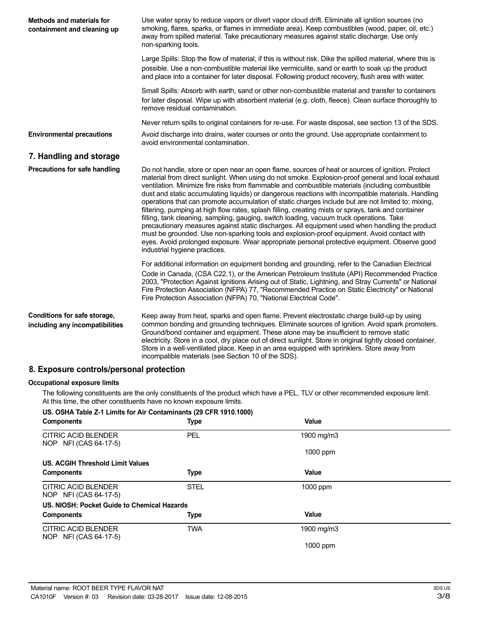| Methods and materials for<br>containment and cleaning up        | Use water spray to reduce vapors or divert vapor cloud drift. Eliminate all ignition sources (no<br>smoking, flares, sparks, or flames in immediate area). Keep combustibles (wood, paper, oil, etc.)<br>away from spilled material. Take precautionary measures against static discharge. Use only<br>non-sparking tools.                                                                                                                                                                                                                                                                                                                                                                                                                                                                                                                                                                                                                                                                                                                                |
|-----------------------------------------------------------------|-----------------------------------------------------------------------------------------------------------------------------------------------------------------------------------------------------------------------------------------------------------------------------------------------------------------------------------------------------------------------------------------------------------------------------------------------------------------------------------------------------------------------------------------------------------------------------------------------------------------------------------------------------------------------------------------------------------------------------------------------------------------------------------------------------------------------------------------------------------------------------------------------------------------------------------------------------------------------------------------------------------------------------------------------------------|
|                                                                 | Large Spills: Stop the flow of material, if this is without risk. Dike the spilled material, where this is<br>possible. Use a non-combustible material like vermiculite, sand or earth to soak up the product<br>and place into a container for later disposal. Following product recovery, flush area with water.                                                                                                                                                                                                                                                                                                                                                                                                                                                                                                                                                                                                                                                                                                                                        |
|                                                                 | Small Spills: Absorb with earth, sand or other non-combustible material and transfer to containers<br>for later disposal. Wipe up with absorbent material (e.g. cloth, fleece). Clean surface thoroughly to<br>remove residual contamination.                                                                                                                                                                                                                                                                                                                                                                                                                                                                                                                                                                                                                                                                                                                                                                                                             |
|                                                                 | Never return spills to original containers for re-use. For waste disposal, see section 13 of the SDS.                                                                                                                                                                                                                                                                                                                                                                                                                                                                                                                                                                                                                                                                                                                                                                                                                                                                                                                                                     |
| <b>Environmental precautions</b>                                | Avoid discharge into drains, water courses or onto the ground. Use appropriate containment to<br>avoid environmental contamination.                                                                                                                                                                                                                                                                                                                                                                                                                                                                                                                                                                                                                                                                                                                                                                                                                                                                                                                       |
| 7. Handling and storage                                         |                                                                                                                                                                                                                                                                                                                                                                                                                                                                                                                                                                                                                                                                                                                                                                                                                                                                                                                                                                                                                                                           |
| Precautions for safe handling                                   | Do not handle, store or open near an open flame, sources of heat or sources of ignition. Protect<br>material from direct sunlight. When using do not smoke. Explosion-proof general and local exhaust<br>ventilation. Minimize fire risks from flammable and combustible materials (including combustible<br>dust and static accumulating liquids) or dangerous reactions with incompatible materials. Handling<br>operations that can promote accumulation of static charges include but are not limited to: mixing,<br>filtering, pumping at high flow rates, splash filling, creating mists or sprays, tank and container<br>filling, tank cleaning, sampling, gauging, switch loading, vacuum truck operations. Take<br>precautionary measures against static discharges. All equipment used when handling the product<br>must be grounded. Use non-sparking tools and explosion-proof equipment. Avoid contact with<br>eyes. Avoid prolonged exposure. Wear appropriate personal protective equipment. Observe good<br>industrial hygiene practices. |
|                                                                 | For additional information on equipment bonding and grounding, refer to the Canadian Electrical<br>Code in Canada, (CSA C22.1), or the American Petroleum Institute (API) Recommended Practice<br>2003, "Protection Against Ignitions Arising out of Static, Lightning, and Stray Currents" or National<br>Fire Protection Association (NFPA) 77, "Recommended Practice on Static Electricity" or National<br>Fire Protection Association (NFPA) 70, "National Electrical Code".                                                                                                                                                                                                                                                                                                                                                                                                                                                                                                                                                                          |
| Conditions for safe storage,<br>including any incompatibilities | Keep away from heat, sparks and open flame. Prevent electrostatic charge build-up by using<br>common bonding and grounding techniques. Eliminate sources of ignition. Avoid spark promoters.<br>Ground/bond container and equipment. These alone may be insufficient to remove static<br>electricity. Store in a cool, dry place out of direct sunlight. Store in original tightly closed container.<br>Store in a well-ventilated place. Keep in an area equipped with sprinklers. Store away from<br>incompatible materials (see Section 10 of the SDS).                                                                                                                                                                                                                                                                                                                                                                                                                                                                                                |

#### **8. Exposure controls/personal protection**

#### **Occupational exposure limits**

The following constituents are the only constituents of the product which have a PEL, TLV or other recommended exposure limit. At this time, the other constituents have no known exposure limits.

| US. OSHA Table Z-1 Limits for Air Contaminants (29 CFR 1910.1000) |             |            |  |
|-------------------------------------------------------------------|-------------|------------|--|
| <b>Components</b>                                                 | <b>Type</b> | Value      |  |
| CITRIC ACID BLENDER<br>NOP NFI (CAS 64-17-5)                      | <b>PEL</b>  | 1900 mg/m3 |  |
|                                                                   |             | $1000$ ppm |  |
| US. ACGIH Threshold Limit Values                                  |             |            |  |
| <b>Components</b>                                                 | Type        | Value      |  |
| CITRIC ACID BLENDER<br>NOP NFI (CAS 64-17-5)                      | <b>STEL</b> | 1000 ppm   |  |
| US. NIOSH: Pocket Guide to Chemical Hazards                       |             |            |  |
| <b>Components</b>                                                 | <b>Type</b> | Value      |  |
| <b>CITRIC ACID BLENDER</b><br>NOP NFI (CAS 64-17-5)               | <b>TWA</b>  | 1900 mg/m3 |  |
|                                                                   |             | 1000 ppm   |  |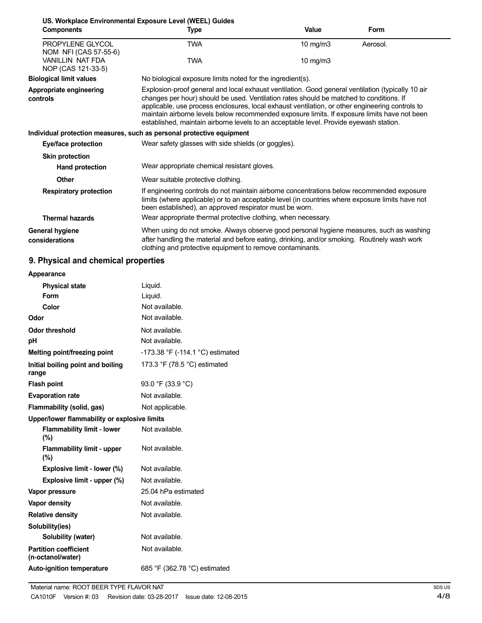**US. Workplace Environmental Exposure Level (WEEL) Guides**

| <b>Components</b>                             | <b>Type</b>                                                                                                                                                                                                                                                                                                                                                                                                                                                                               | Value    | Form     |
|-----------------------------------------------|-------------------------------------------------------------------------------------------------------------------------------------------------------------------------------------------------------------------------------------------------------------------------------------------------------------------------------------------------------------------------------------------------------------------------------------------------------------------------------------------|----------|----------|
| PROPYLENE GLYCOL<br>NOM NFI (CAS 57-55-6)     | <b>TWA</b>                                                                                                                                                                                                                                                                                                                                                                                                                                                                                | 10 mg/m3 | Aerosol. |
| <b>VANILLIN NAT FDA</b><br>NOP (CAS 121-33-5) | <b>TWA</b>                                                                                                                                                                                                                                                                                                                                                                                                                                                                                | 10 mg/m3 |          |
| <b>Biological limit values</b>                | No biological exposure limits noted for the ingredient(s).                                                                                                                                                                                                                                                                                                                                                                                                                                |          |          |
| Appropriate engineering<br>controls           | Explosion-proof general and local exhaust ventilation. Good general ventilation (typically 10 air<br>changes per hour) should be used. Ventilation rates should be matched to conditions. If<br>applicable, use process enclosures, local exhaust ventilation, or other engineering controls to<br>maintain airborne levels below recommended exposure limits. If exposure limits have not been<br>established, maintain airborne levels to an acceptable level. Provide eyewash station. |          |          |
|                                               | Individual protection measures, such as personal protective equipment                                                                                                                                                                                                                                                                                                                                                                                                                     |          |          |
| Eye/face protection                           | Wear safety glasses with side shields (or goggles).                                                                                                                                                                                                                                                                                                                                                                                                                                       |          |          |
| <b>Skin protection</b>                        |                                                                                                                                                                                                                                                                                                                                                                                                                                                                                           |          |          |
| <b>Hand protection</b>                        | Wear appropriate chemical resistant gloves.                                                                                                                                                                                                                                                                                                                                                                                                                                               |          |          |
| Other                                         | Wear suitable protective clothing.                                                                                                                                                                                                                                                                                                                                                                                                                                                        |          |          |
| <b>Respiratory protection</b>                 | If engineering controls do not maintain airborne concentrations below recommended exposure<br>limits (where applicable) or to an acceptable level (in countries where exposure limits have not<br>been established), an approved respirator must be worn.                                                                                                                                                                                                                                 |          |          |
| <b>Thermal hazards</b>                        | Wear appropriate thermal protective clothing, when necessary.                                                                                                                                                                                                                                                                                                                                                                                                                             |          |          |
| <b>General hygiene</b><br>considerations      | When using do not smoke. Always observe good personal hygiene measures, such as washing<br>after handling the material and before eating, drinking, and/or smoking. Routinely wash work<br>clothing and protective equipment to remove contaminants.                                                                                                                                                                                                                                      |          |          |

## **9. Physical and chemical properties**

| Appearance                                        |                                  |
|---------------------------------------------------|----------------------------------|
| <b>Physical state</b>                             | Liquid.                          |
| <b>Form</b>                                       | Liquid.                          |
| Color                                             | Not available.                   |
| Odor                                              | Not available.                   |
| <b>Odor threshold</b>                             | Not available.                   |
| pH                                                | Not available.                   |
| Melting point/freezing point                      | -173.38 °F (-114.1 °C) estimated |
| Initial boiling point and boiling<br>range        | 173.3 °F (78.5 °C) estimated     |
| <b>Flash point</b>                                | 93.0 °F (33.9 °C)                |
| <b>Evaporation rate</b>                           | Not available.                   |
| Flammability (solid, gas)                         | Not applicable.                  |
| Upper/lower flammability or explosive limits      |                                  |
| <b>Flammability limit - lower</b><br>$(\%)$       | Not available.                   |
| <b>Flammability limit - upper</b><br>$(\%)$       | Not available.                   |
| Explosive limit - lower (%)                       | Not available.                   |
| Explosive limit - upper (%)                       | Not available.                   |
| Vapor pressure                                    | 25.04 hPa estimated              |
| Vapor density                                     | Not available.                   |
| <b>Relative density</b>                           | Not available.                   |
| Solubility(ies)                                   |                                  |
| Solubility (water)                                | Not available.                   |
| <b>Partition coefficient</b><br>(n-octanol/water) | Not available.                   |
| <b>Auto-ignition temperature</b>                  | 685 °F (362.78 °C) estimated     |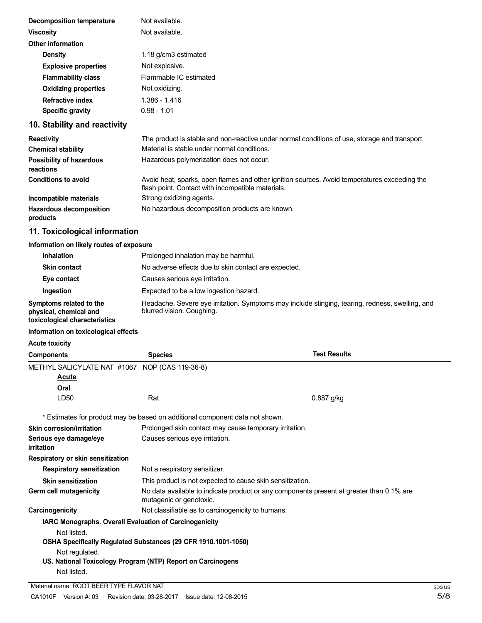| Decomposition temperature   | Not available.         |
|-----------------------------|------------------------|
| <b>Viscosity</b>            | Not available.         |
| <b>Other information</b>    |                        |
| <b>Density</b>              | 1.18 g/cm3 estimated   |
| <b>Explosive properties</b> | Not explosive.         |
| <b>Flammability class</b>   | Flammable IC estimated |
| <b>Oxidizing properties</b> | Not oxidizing.         |
| <b>Refractive index</b>     | $1.386 - 1.416$        |
| <b>Specific gravity</b>     | $0.98 - 1.01$          |

#### **10. Stability and reactivity**

| <b>Reactivity</b>                            | The product is stable and non-reactive under normal conditions of use, storage and transport.                                                     |
|----------------------------------------------|---------------------------------------------------------------------------------------------------------------------------------------------------|
| <b>Chemical stability</b>                    | Material is stable under normal conditions.                                                                                                       |
| <b>Possibility of hazardous</b><br>reactions | Hazardous polymerization does not occur.                                                                                                          |
| <b>Conditions to avoid</b>                   | Avoid heat, sparks, open flames and other ignition sources. Avoid temperatures exceeding the<br>flash point. Contact with incompatible materials. |
| Incompatible materials                       | Strong oxidizing agents.                                                                                                                          |
| <b>Hazardous decomposition</b><br>products   | No hazardous decomposition products are known.                                                                                                    |

## **11. Toxicological information**

#### **Information on likely routes of exposure**

| Inhalation                                                                         | Prolonged inhalation may be harmful.                                                                                         |
|------------------------------------------------------------------------------------|------------------------------------------------------------------------------------------------------------------------------|
| <b>Skin contact</b>                                                                | No adverse effects due to skin contact are expected.                                                                         |
| Eye contact                                                                        | Causes serious eye irritation.                                                                                               |
| Ingestion                                                                          | Expected to be a low ingestion hazard.                                                                                       |
| Symptoms related to the<br>physical, chemical and<br>toxicological characteristics | Headache. Severe eye irritation. Symptoms may include stinging, tearing, redness, swelling, and<br>blurred vision. Coughing. |

#### **Information on toxicological effects**

**Acute toxicity**

| <b>Components</b>                                              | <b>Species</b>                                                                                                      | <b>Test Results</b> |
|----------------------------------------------------------------|---------------------------------------------------------------------------------------------------------------------|---------------------|
| METHYL SALICYLATE NAT #1067 NOP (CAS 119-36-8)                 |                                                                                                                     |                     |
| Acute                                                          |                                                                                                                     |                     |
| Oral                                                           |                                                                                                                     |                     |
| LD <sub>50</sub>                                               | Rat                                                                                                                 | $0.887$ g/kg        |
|                                                                | * Estimates for product may be based on additional component data not shown.                                        |                     |
| Skin corrosion/irritation                                      | Prolonged skin contact may cause temporary irritation.                                                              |                     |
| Serious eye damage/eye<br>irritation                           | Causes serious eye irritation.                                                                                      |                     |
| Respiratory or skin sensitization                              |                                                                                                                     |                     |
| <b>Respiratory sensitization</b>                               | Not a respiratory sensitizer.                                                                                       |                     |
| <b>Skin sensitization</b>                                      | This product is not expected to cause skin sensitization.                                                           |                     |
| Germ cell mutagenicity                                         | No data available to indicate product or any components present at greater than 0.1% are<br>mutagenic or genotoxic. |                     |
| Carcinogenicity                                                | Not classifiable as to carcinogenicity to humans.                                                                   |                     |
| IARC Monographs. Overall Evaluation of Carcinogenicity         |                                                                                                                     |                     |
| Not listed.                                                    |                                                                                                                     |                     |
| OSHA Specifically Regulated Substances (29 CFR 1910.1001-1050) |                                                                                                                     |                     |
| Not regulated.                                                 |                                                                                                                     |                     |
|                                                                | US. National Toxicology Program (NTP) Report on Carcinogens                                                         |                     |
| Not listed.                                                    |                                                                                                                     |                     |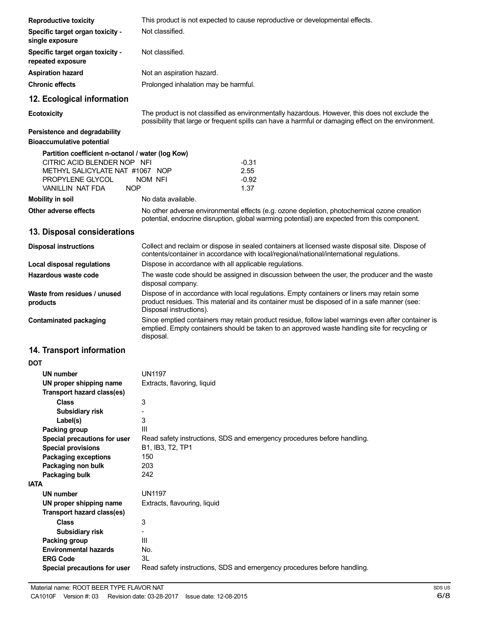| <b>Reproductive toxicity</b>                                                                                                                                              | This product is not expected to cause reproductive or developmental effects.                                                                                                                                           |
|---------------------------------------------------------------------------------------------------------------------------------------------------------------------------|------------------------------------------------------------------------------------------------------------------------------------------------------------------------------------------------------------------------|
| Specific target organ toxicity -<br>single exposure                                                                                                                       | Not classified.                                                                                                                                                                                                        |
| Specific target organ toxicity -<br>repeated exposure                                                                                                                     | Not classified.                                                                                                                                                                                                        |
| <b>Aspiration hazard</b>                                                                                                                                                  | Not an aspiration hazard.                                                                                                                                                                                              |
| <b>Chronic effects</b>                                                                                                                                                    | Prolonged inhalation may be harmful.                                                                                                                                                                                   |
| 12. Ecological information                                                                                                                                                |                                                                                                                                                                                                                        |
| <b>Ecotoxicity</b>                                                                                                                                                        | The product is not classified as environmentally hazardous. However, this does not exclude the<br>possibility that large or frequent spills can have a harmful or damaging effect on the environment.                  |
| Persistence and degradability<br><b>Bioaccumulative potential</b>                                                                                                         |                                                                                                                                                                                                                        |
| Partition coefficient n-octanol / water (log Kow)<br>CITRIC ACID BLENDER NOP NFI<br>METHYL SALICYLATE NAT #1067 NOP<br>PROPYLENE GLYCOL<br>VANILLIN NAT FDA<br><b>NOP</b> | $-0.31$<br>2.55<br>NOM NFI<br>$-0.92$<br>1.37                                                                                                                                                                          |
| <b>Mobility in soil</b>                                                                                                                                                   | No data available.                                                                                                                                                                                                     |
| Other adverse effects                                                                                                                                                     | No other adverse environmental effects (e.g. ozone depletion, photochemical ozone creation<br>potential, endocrine disruption, global warming potential) are expected from this component.                             |
| 13. Disposal considerations                                                                                                                                               |                                                                                                                                                                                                                        |
| <b>Disposal instructions</b>                                                                                                                                              | Collect and reclaim or dispose in sealed containers at licensed waste disposal site. Dispose of<br>contents/container in accordance with local/regional/national/international regulations.                            |
| Local disposal regulations                                                                                                                                                | Dispose in accordance with all applicable regulations.                                                                                                                                                                 |
| Hazardous waste code                                                                                                                                                      | The waste code should be assigned in discussion between the user, the producer and the waste<br>disposal company.                                                                                                      |
| Waste from residues / unused<br>products                                                                                                                                  | Dispose of in accordance with local regulations. Empty containers or liners may retain some<br>product residues. This material and its container must be disposed of in a safe manner (see:<br>Disposal instructions). |
| <b>Contaminated packaging</b>                                                                                                                                             | Since emptied containers may retain product residue, follow label warnings even after container is<br>emptied. Empty containers should be taken to an approved waste handling site for recycling or<br>disposal.       |
| 14. Transport information                                                                                                                                                 |                                                                                                                                                                                                                        |
| DOT                                                                                                                                                                       |                                                                                                                                                                                                                        |
| <b>UN number</b><br>UN proper shipping name<br><b>Transport hazard class(es)</b>                                                                                          | <b>UN1197</b><br>Extracts, flavoring, liquid                                                                                                                                                                           |
| <b>Class</b><br>Subsidiary risk                                                                                                                                           | 3                                                                                                                                                                                                                      |
| Label(s)                                                                                                                                                                  | 3                                                                                                                                                                                                                      |
| Packing group                                                                                                                                                             | III                                                                                                                                                                                                                    |
| Special precautions for user                                                                                                                                              | Read safety instructions, SDS and emergency procedures before handling.                                                                                                                                                |
| <b>Special provisions</b>                                                                                                                                                 | B1, IB3, T2, TP1                                                                                                                                                                                                       |
| <b>Packaging exceptions</b>                                                                                                                                               | 150                                                                                                                                                                                                                    |
| Packaging non bulk                                                                                                                                                        | 203                                                                                                                                                                                                                    |
| Packaging bulk<br><b>IATA</b>                                                                                                                                             | 242                                                                                                                                                                                                                    |
| UN number                                                                                                                                                                 | <b>UN1197</b>                                                                                                                                                                                                          |
| UN proper shipping name                                                                                                                                                   | Extracts, flavouring, liquid                                                                                                                                                                                           |
| Transport hazard class(es)                                                                                                                                                |                                                                                                                                                                                                                        |
| Class                                                                                                                                                                     | 3                                                                                                                                                                                                                      |
| <b>Subsidiary risk</b>                                                                                                                                                    |                                                                                                                                                                                                                        |
| Packing group                                                                                                                                                             | Ш                                                                                                                                                                                                                      |
| <b>Environmental hazards</b>                                                                                                                                              | No.                                                                                                                                                                                                                    |
| <b>ERG Code</b>                                                                                                                                                           | 3L                                                                                                                                                                                                                     |
| Special precautions for user                                                                                                                                              | Read safety instructions, SDS and emergency procedures before handling.                                                                                                                                                |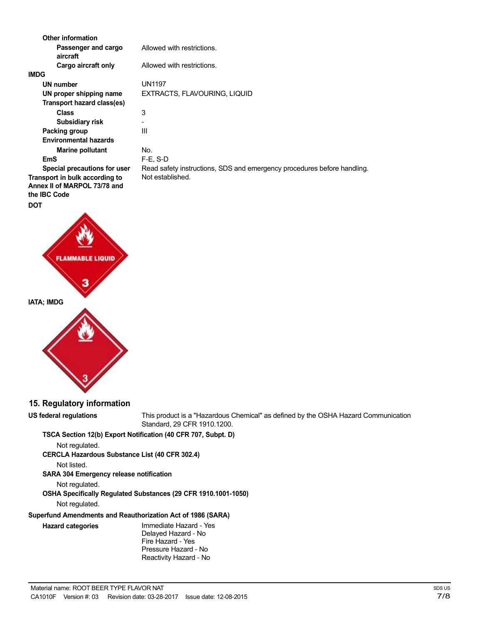| <b>Other information</b>                                                       |                                                                         |
|--------------------------------------------------------------------------------|-------------------------------------------------------------------------|
| Passenger and cargo<br>aircraft                                                | Allowed with restrictions.                                              |
| Cargo aircraft only                                                            | Allowed with restrictions.                                              |
| IMDG                                                                           |                                                                         |
| UN number                                                                      | <b>UN1197</b>                                                           |
| UN proper shipping name                                                        | EXTRACTS, FLAVOURING, LIQUID                                            |
| Transport hazard class(es)                                                     |                                                                         |
| <b>Class</b>                                                                   | 3                                                                       |
| Subsidiary risk                                                                |                                                                         |
| Packing group                                                                  | Ш                                                                       |
| <b>Environmental hazards</b>                                                   |                                                                         |
| <b>Marine pollutant</b>                                                        | No.                                                                     |
| <b>EmS</b>                                                                     | $F-E$ , S-D                                                             |
| Special precautions for user                                                   | Read safety instructions, SDS and emergency procedures before handling. |
| Transport in bulk according to<br>Annex II of MARPOL 73/78 and<br>the IBC Code | Not established.                                                        |
| DOT                                                                            |                                                                         |





**15. Regulatory information**

**US federal regulations** This product is a "Hazardous Chemical" as defined by the OSHA Hazard Communication Standard, 29 CFR 1910.1200.

**TSCA Section 12(b) Export Notification (40 CFR 707, Subpt. D)**

Not regulated.

**CERCLA Hazardous Substance List (40 CFR 302.4)**

Not listed.

#### **SARA 304 Emergency release notification**

Not regulated.

**OSHA Specifically Regulated Substances (29 CFR 1910.1001-1050)** Not regulated.

## **Superfund Amendments and Reauthorization Act of 1986 (SARA)**

**Hazard categories** Immediate Hazard - Yes Delayed Hazard - No Fire Hazard - Yes Pressure Hazard - No Reactivity Hazard - No